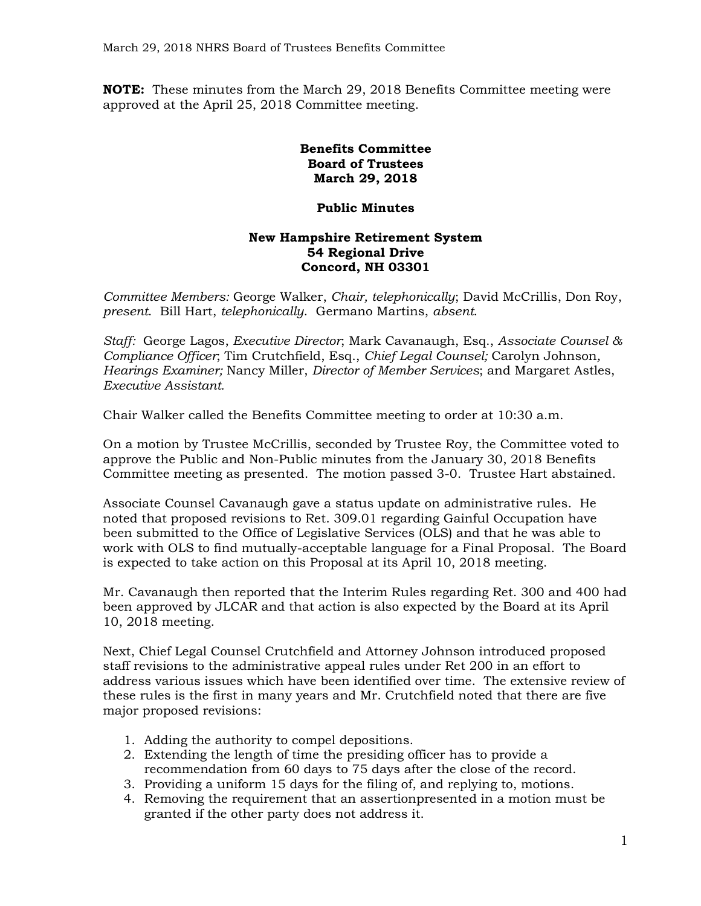**NOTE:** These minutes from the March 29, 2018 Benefits Committee meeting were approved at the April 25, 2018 Committee meeting.

## **Benefits Committee Board of Trustees March 29, 2018**

## **Public Minutes**

## **New Hampshire Retirement System 54 Regional Drive Concord, NH 03301**

*Committee Members:* George Walker, *Chair, telephonically*; David McCrillis, Don Roy, *present*. Bill Hart, *telephonically*. Germano Martins, *absent*.

*Staff:* George Lagos, *Executive Director*; Mark Cavanaugh, Esq., *Associate Counsel & Compliance Officer*; Tim Crutchfield, Esq., *Chief Legal Counsel;* Carolyn Johnson*, Hearings Examiner;* Nancy Miller, *Director of Member Services*; and Margaret Astles, *Executive Assistant.*

Chair Walker called the Benefits Committee meeting to order at 10:30 a.m.

On a motion by Trustee McCrillis, seconded by Trustee Roy, the Committee voted to approve the Public and Non-Public minutes from the January 30, 2018 Benefits Committee meeting as presented. The motion passed 3-0. Trustee Hart abstained.

Associate Counsel Cavanaugh gave a status update on administrative rules. He noted that proposed revisions to Ret. 309.01 regarding Gainful Occupation have been submitted to the Office of Legislative Services (OLS) and that he was able to work with OLS to find mutually-acceptable language for a Final Proposal. The Board is expected to take action on this Proposal at its April 10, 2018 meeting.

Mr. Cavanaugh then reported that the Interim Rules regarding Ret. 300 and 400 had been approved by JLCAR and that action is also expected by the Board at its April 10, 2018 meeting.

Next, Chief Legal Counsel Crutchfield and Attorney Johnson introduced proposed staff revisions to the administrative appeal rules under Ret 200 in an effort to address various issues which have been identified over time. The extensive review of these rules is the first in many years and Mr. Crutchfield noted that there are five major proposed revisions:

- 1. Adding the authority to compel depositions.
- 2. Extending the length of time the presiding officer has to provide a recommendation from 60 days to 75 days after the close of the record.
- 3. Providing a uniform 15 days for the filing of, and replying to, motions.
- 4. Removing the requirement that an assertionpresented in a motion must be granted if the other party does not address it.